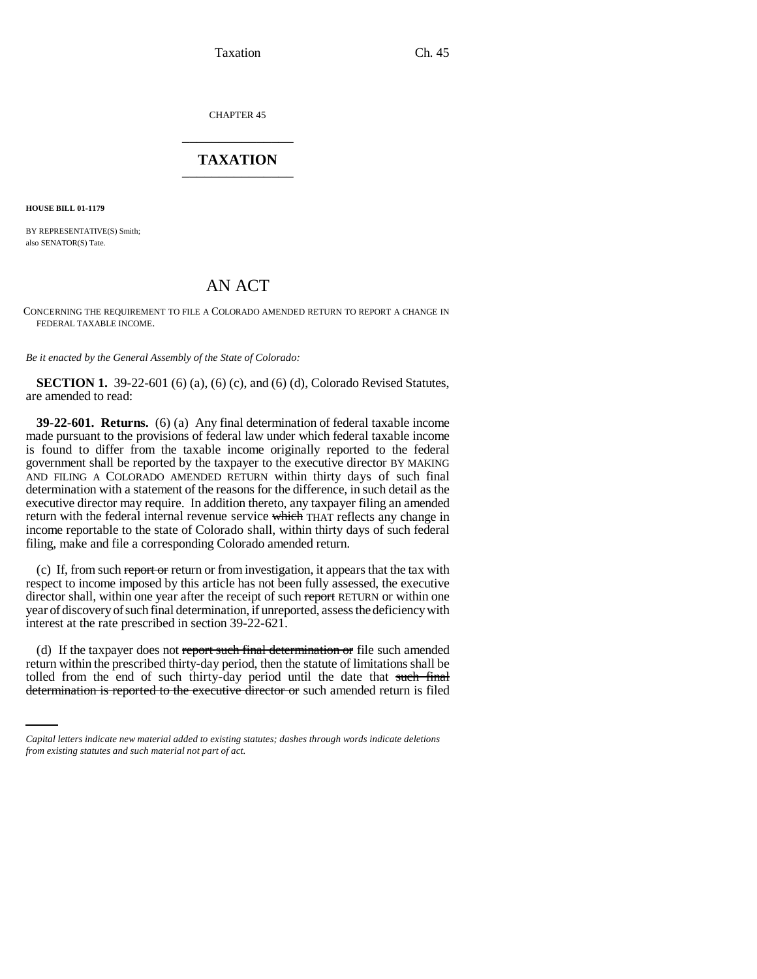Taxation Ch. 45

CHAPTER 45 \_\_\_\_\_\_\_\_\_\_\_\_\_\_\_

## **TAXATION** \_\_\_\_\_\_\_\_\_\_\_\_\_\_\_

**HOUSE BILL 01-1179**

BY REPRESENTATIVE(S) Smith; also SENATOR(S) Tate.

## AN ACT

CONCERNING THE REQUIREMENT TO FILE A COLORADO AMENDED RETURN TO REPORT A CHANGE IN FEDERAL TAXABLE INCOME.

*Be it enacted by the General Assembly of the State of Colorado:*

**SECTION 1.** 39-22-601 (6) (a), (6) (c), and (6) (d), Colorado Revised Statutes, are amended to read:

**39-22-601. Returns.** (6) (a) Any final determination of federal taxable income made pursuant to the provisions of federal law under which federal taxable income is found to differ from the taxable income originally reported to the federal government shall be reported by the taxpayer to the executive director BY MAKING AND FILING A COLORADO AMENDED RETURN within thirty days of such final determination with a statement of the reasons for the difference, in such detail as the executive director may require. In addition thereto, any taxpayer filing an amended return with the federal internal revenue service which THAT reflects any change in income reportable to the state of Colorado shall, within thirty days of such federal filing, make and file a corresponding Colorado amended return.

(c) If, from such report or return or from investigation, it appears that the tax with respect to income imposed by this article has not been fully assessed, the executive director shall, within one year after the receipt of such report RETURN or within one year of discovery of such final determination, if unreported, assess the deficiency with interest at the rate prescribed in section 39-22-621.

return within the prescribed thirty-day period, then the statute of limitations shall be (d) If the taxpayer does not report such final determination or file such amended tolled from the end of such thirty-day period until the date that such final determination is reported to the executive director or such amended return is filed

*Capital letters indicate new material added to existing statutes; dashes through words indicate deletions from existing statutes and such material not part of act.*